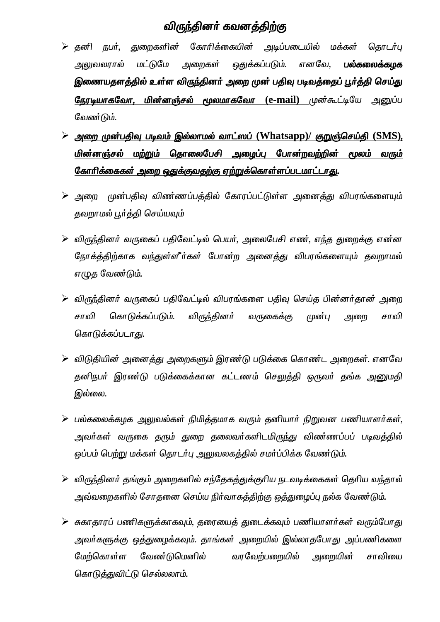## *விரு*ந்தினர் கவனத்திற்கு

- $\triangleright$  தனி நபர், துறைகளின் கோரிக்கையின் அடிப்படையில் மக்கள் தொடர்பு அலுவலரால் மட்டுமே அறைகள் ஒதுக்கப்படும். எனவே, **பல்கலைக்கழக** இணையதளத்தில் உள்ள விருந்தினர் அறை முன் பதிவு படிவத்தைப் பூர்த்தி செய்து <mark>நேரடியாகவோ, மின்னஞ்சல் மூலமாகவோ (e-mail</mark>) முன்கூட்டியே அனுப்ப லேண்டும்.
- $\triangleright$  அறை முன்பதிவு படிவம் இல்லாமல் வாட்ஸப் (Whatsapp)/ குறுஞ்செய்தி (SMS), மின்னஞ்சல் மற்றும் தொலைபேசி அழைப்பு போன்றவற்றின் மூலம் வரும் <u>கோரிக்கைகள் அறை ஒதுக்குவதற்கு ஏற்றுக்கொள்ளப்படமாட்டாது.</u>
- $\triangleright$  அறை முன்பதிவு விண்ணப்பத்தில் கோரப்பட்டுள்ள அனைத்து விபரங்களையும் தவறாமல் பூர்த்தி செய்யவும்
- $\triangleright$  விருந்தினர் வருகைப் பதிவேட்டில் பெயர், அலைபேசி எண், எந்த துறைக்கு என்ன நோக்த்திற்காக வ<u>ந்</u>துள்ளீர்கள் போன்ற அனைத்து விபரங்களையும் தவறாமல் எழுத வேண்டும்.
- $\triangleright$  விருந்தினர் வருகைப் பதிவேட்டில் விபரங்களை பதிவு செய்த பின்னர்தான் அறை சாவி கொடுக்கப்படும். விருந்தினா் வருகைக்கு முன்பு அறை சாவி கொடுக்கப்படா<u>க</u>ு.
- $\blacktriangleright$  விடுதியின் அனைத்து அறைகளும் இரண்டு படுக்கை கொண்ட அறைகள். எனவே தனிநபர் இரண்டு படுக்கைக்கான கட்டணம் செலுத்தி ஒருவர் தங்க <u>அனு</u>மதி இல்லை.
- $\triangleright$  பல்கலைக்கழக அலுவல்கள் நிமித்தமாக வரும் தனியார் நிறுவன பணியாளர்கள், அவர்கள் வருகை தரும் துறை தலைவர்களிடமிருந்து விண்ணப்பப் படிவத்தில் ஒப்பம் பெற்று மக்கள் தொடர்பு அலுவலகத்தில் சமர்ப்பிக்க வேண்டும்.
- $\triangleright$  விருந்தினர் தங்கும் அறைகளில் சந்தேகத்துக்குரிய நடவடிக்கைகள் தெரிய வந்தால் அவ்வறைகளில் சோதனை செய்ய நிர்வாகத்திற்கு ஒத்துழைப்பு நல்க வேண்டும்.
- $\blacktriangleright$  சுகாதாரப் பணிகளுக்காகவும், தரையைத் துடைக்கவும் பணியாளர்கள் வரும்போது அவா்களுக்கு ஒத்துழைக்கவும். தாங்கள் அறையில் இல்லாதபோது அப்பணிகளை மேற்கொள்ள வேண்டுமெனில் வரவேற்பறையில் அறையின் சாவியை *கொடுத்துவிட்டு செல்லலாம்.*